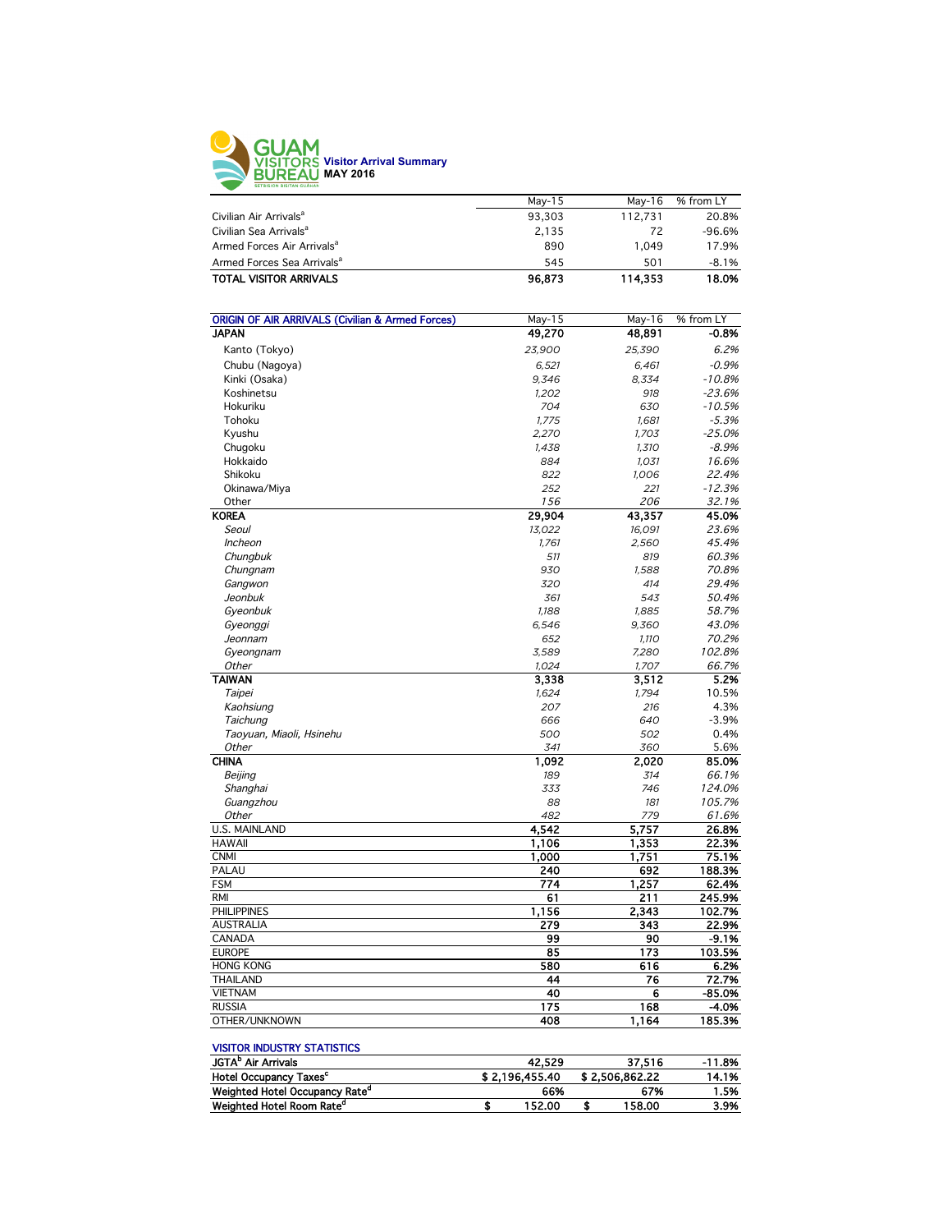

|                                        | May-15 | May-16  | % from LY |
|----------------------------------------|--------|---------|-----------|
| Civilian Air Arrivals <sup>a</sup>     | 93.303 | 112,731 | 20.8%     |
| Civilian Sea Arrivals <sup>a</sup>     | 2.135  | 72      | $-96.6%$  |
| Armed Forces Air Arrivals <sup>a</sup> | 890    | 1.049   | 17.9%     |
| Armed Forces Sea Arrivals <sup>a</sup> | 545    | 501     | $-8.1%$   |
| <b>TOTAL VISITOR ARRIVALS</b>          | 96,873 | 114.353 | 18.0%     |

| <b>ORIGIN OF AIR ARRIVALS (Civilian &amp; Armed Forces)</b> | May-15 | May-16 | % from LY |
|-------------------------------------------------------------|--------|--------|-----------|
| <b>JAPAN</b>                                                | 49,270 | 48,891 | $-0.8%$   |
| Kanto (Tokyo)                                               | 23,900 | 25,390 | 6.2%      |
| Chubu (Nagoya)                                              | 6,521  | 6,461  | $-0.9%$   |
| Kinki (Osaka)                                               | 9.346  | 8.334  | $-10.8%$  |
| Koshinetsu                                                  | 1,202  | 918    | $-23.6%$  |
| Hokuriku                                                    | 704    | 630    | $-10.5%$  |
| Tohoku                                                      | 1,775  | 1,681  | $-5.3%$   |
| Kyushu                                                      | 2,270  | 1,703  | $-25.0%$  |
| Chugoku                                                     | 1,438  | 1,310  | $-8.9%$   |
| Hokkaido                                                    | 884    | 1,031  | 16.6%     |
| Shikoku                                                     | 822    | 1,006  | 22.4%     |
| Okinawa/Miya                                                | 252    | 221    | $-12.3%$  |
| Other                                                       | 156    | 206    | 32.1%     |
| <b>KOREA</b>                                                | 29,904 | 43,357 | 45.0%     |
| Seoul                                                       | 13,022 | 16,091 | 23.6%     |
| Incheon                                                     | 1,761  | 2,560  | 45.4%     |
| Chungbuk                                                    | 511    | 819    | 60.3%     |
| Chungnam                                                    | 930    | 1,588  | 70.8%     |
| Gangwon                                                     | 320    | 414    | 29.4%     |
| Jeonbuk                                                     | 361    | 543    | 50.4%     |
| Gyeonbuk                                                    | 1,188  | 1,885  | 58.7%     |
| Gyeonggi                                                    | 6,546  | 9,360  | 43.0%     |
| Jeonnam                                                     | 652    | 1,110  | 70.2%     |
| Gyeongnam                                                   | 3,589  | 7,280  | 102.8%    |
| Other                                                       | 1,024  | 1,707  | 66.7%     |
| <b>TAIWAN</b>                                               | 3,338  | 3,512  | 5.2%      |
| Taipei                                                      | 1.624  | 1.794  | 10.5%     |
| Kaohsiung                                                   | 207    | 216    | 4.3%      |
| Taichung                                                    | 666    | 640    | $-3.9%$   |
| Taoyuan, Miaoli, Hsinehu                                    | 500    | 502    | 0.4%      |
| Other                                                       | 341    | 360    | 5.6%      |
| <b>CHINA</b>                                                | 1,092  | 2,020  | 85.0%     |
| Beijing                                                     | 189    | 314    | 66.1%     |
| Shanghai                                                    | 333    | 746    | 124.0%    |
| Guangzhou                                                   | 88     | 181    | 105.7%    |
| Other                                                       | 482    | 779    | 61.6%     |
| <b>U.S. MAINLAND</b>                                        | 4.542  | 5,757  | 26.8%     |
| <b>HAWAII</b>                                               | 1,106  | 1,353  | 22.3%     |
| <b>CNMI</b>                                                 | 1,000  | 1,751  | 75.1%     |
| PALAU                                                       | 240    | 692    | 188.3%    |
| <b>FSM</b>                                                  | 774    | 1,257  | 62.4%     |
| <b>RMI</b>                                                  | 61     | 211    | 245.9%    |
| <b>PHILIPPINES</b>                                          | 1,156  | 2,343  | 102.7%    |
| <b>AUSTRALIA</b>                                            | 279    | 343    | 22.9%     |
| CANADA                                                      | 99     | 90     | $-9.1%$   |
| <b>EUROPE</b>                                               | 85     | 173    | 103.5%    |
| <b>HONG KONG</b>                                            | 580    | 616    | 6.2%      |
| <b>THAILAND</b>                                             | 44     | 76     | 72.7%     |
| <b>VIETNAM</b>                                              | 40     | 6      | $-85.0%$  |
| <b>RUSSIA</b>                                               | 175    | 168    | -4.0%     |
| OTHER/UNKNOWN                                               | 408    | 1,164  | 185.3%    |
|                                                             |        |        |           |

## VISITOR INDUSTRY STATISTICS

| <b>JGTA</b> <sup>D</sup> Air Arrivals      |                | 42.529 |                | 37.516 | $-11.8%$ |
|--------------------------------------------|----------------|--------|----------------|--------|----------|
| <b>Hotel Occupancy Taxes<sup>c</sup></b>   | \$2.196.455.40 |        | \$2.506.862.22 |        | 14.1%    |
| Weighted Hotel Occupancy Rate <sup>a</sup> |                | 66%    |                | 67%    | 1.5%     |
| Weighted Hotel Room Rate <sup>d</sup>      |                | 152.00 |                | 158.00 | 3.9%     |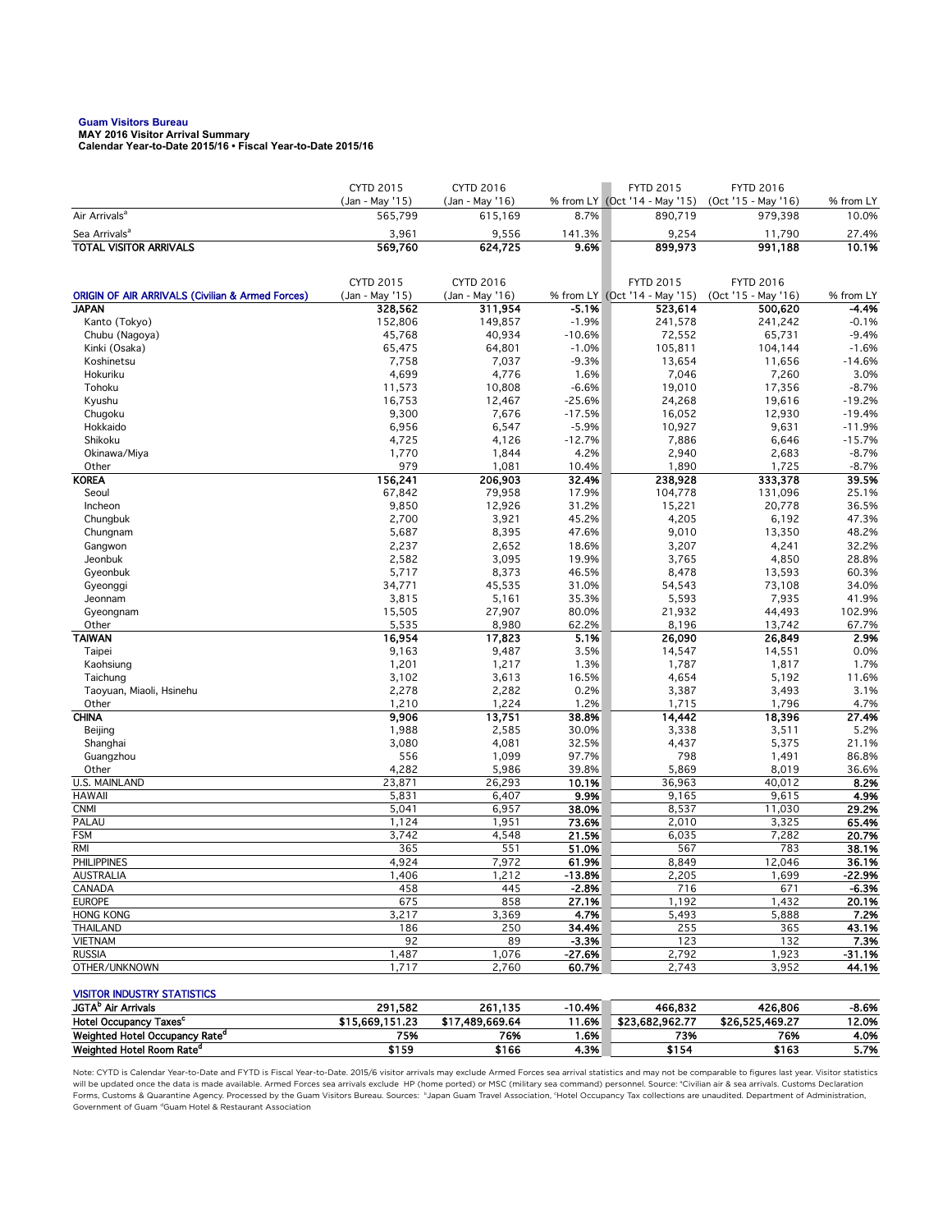## **Guam Visitors Bureau MAY 2016 Visitor Arrival Summary**

**Calendar Year-to-Date 2015/16 • Fiscal Year-to-Date 2015/16** 

|                                                             | <b>CYTD 2015</b> | CYTD 2016       |                     | <b>FYTD 2015</b>              | <b>FYTD 2016</b>    |                      |
|-------------------------------------------------------------|------------------|-----------------|---------------------|-------------------------------|---------------------|----------------------|
|                                                             | (Jan - May '15)  | (Jan - May '16) |                     | % from LY (Oct '14 - May '15) | (Oct '15 - May '16) | % from LY            |
| Air Arrivals <sup>a</sup>                                   | 565,799          | 615,169         | 8.7%                | 890,719                       | 979,398             | 10.0%                |
| Sea Arrivals <sup>a</sup>                                   | 3,961            | 9,556           | 141.3%              | 9,254                         | 11,790              | 27.4%                |
| <b>TOTAL VISITOR ARRIVALS</b>                               | 569,760          | 624,725         | 9.6%                | 899,973                       | 991,188             | 10.1%                |
|                                                             | <b>CYTD 2015</b> | CYTD 2016       |                     | <b>FYTD 2015</b>              | <b>FYTD 2016</b>    |                      |
| <b>ORIGIN OF AIR ARRIVALS (Civilian &amp; Armed Forces)</b> | (Jan - May '15)  | (Jan - May '16) |                     | % from LY (Oct '14 - May '15) | (Oct '15 - May '16) | % from LY            |
| <b>JAPAN</b>                                                | 328,562          | 311,954         | $-5.1%$             | 523,614                       | 500,620             | -4.4%                |
| Kanto (Tokyo)                                               | 152,806          | 149,857         | $-1.9%$             | 241,578                       | 241,242             | $-0.1%$              |
| Chubu (Nagoya)                                              | 45.768           | 40,934          | $-10.6%$            | 72,552                        | 65,731              | $-9.4%$              |
| Kinki (Osaka)                                               | 65,475           | 64,801          | $-1.0%$             | 105,811                       | 104,144             | $-1.6%$              |
| Koshinetsu                                                  | 7,758            | 7,037           | $-9.3%$             | 13,654                        | 11,656              | $-14.6%$             |
| Hokuriku                                                    | 4,699            | 4,776           | 1.6%                | 7,046                         | 7,260               | 3.0%                 |
| Tohoku                                                      | 11,573           | 10,808          | $-6.6%$             | 19,010                        | 17,356              | $-8.7%$              |
| Kyushu                                                      | 16,753           | 12,467          | $-25.6%$            | 24,268                        | 19,616              | $-19.2%$             |
| Chugoku                                                     | 9,300            | 7,676           | $-17.5%$            | 16,052                        | 12,930              | $-19.4%$             |
| Hokkaido<br>Shikoku                                         | 6,956<br>4,725   | 6,547<br>4,126  | $-5.9%$<br>$-12.7%$ | 10,927<br>7,886               | 9,631<br>6,646      | $-11.9%$<br>$-15.7%$ |
| Okinawa/Miya                                                | 1,770            | 1,844           | 4.2%                | 2,940                         | 2,683               | $-8.7%$              |
| Other                                                       | 979              | 1,081           | 10.4%               | 1,890                         | 1,725               | $-8.7%$              |
| <b>KOREA</b>                                                | 156,241          | 206,903         | 32.4%               | 238,928                       | 333,378             | 39.5%                |
| Seoul                                                       | 67,842           | 79,958          | 17.9%               | 104,778                       | 131,096             | 25.1%                |
| Incheon                                                     | 9,850            | 12,926          | 31.2%               | 15,221                        | 20,778              | 36.5%                |
| Chungbuk                                                    | 2,700            | 3,921           | 45.2%               | 4,205                         | 6,192               | 47.3%                |
| Chungnam                                                    | 5,687            | 8,395           | 47.6%               | 9,010                         | 13,350              | 48.2%                |
| Gangwon                                                     | 2,237            | 2,652           | 18.6%               | 3,207                         | 4,241               | 32.2%                |
| Jeonbuk                                                     | 2,582            | 3,095           | 19.9%               | 3,765                         | 4,850               | 28.8%                |
| Gyeonbuk                                                    | 5,717            | 8,373           | 46.5%               | 8,478                         | 13,593              | 60.3%                |
| Gyeonggi                                                    | 34,771           | 45,535          | 31.0%               | 54,543                        | 73,108              | 34.0%                |
| Jeonnam                                                     | 3,815            | 5,161           | 35.3%               | 5,593                         | 7,935               | 41.9%                |
| Gyeongnam                                                   | 15,505           | 27,907          | 80.0%               | 21,932                        | 44,493              | 102.9%               |
| Other                                                       | 5,535            | 8,980           | 62.2%               | 8,196                         | 13,742              | 67.7%                |
| <b>TAIWAN</b><br>Taipei                                     | 16,954<br>9,163  | 17,823<br>9,487 | 5.1%<br>3.5%        | 26,090<br>14,547              | 26,849              | 2.9%<br>0.0%         |
| Kaohsiung                                                   | 1,201            | 1,217           | 1.3%                | 1,787                         | 14,551<br>1,817     | 1.7%                 |
| Taichung                                                    | 3,102            | 3,613           | 16.5%               | 4,654                         | 5,192               | 11.6%                |
| Taoyuan, Miaoli, Hsinehu                                    | 2,278            | 2,282           | 0.2%                | 3,387                         | 3,493               | 3.1%                 |
| Other                                                       | 1,210            | 1,224           | 1.2%                | 1,715                         | 1,796               | 4.7%                 |
| <b>CHINA</b>                                                | 9,906            | 13,751          | 38.8%               | 14,442                        | 18,396              | 27.4%                |
| Beijing                                                     | 1,988            | 2,585           | 30.0%               | 3,338                         | 3,511               | 5.2%                 |
| Shanghai                                                    | 3,080            | 4,081           | 32.5%               | 4,437                         | 5,375               | 21.1%                |
| Guangzhou                                                   | 556              | 1,099           | 97.7%               | 798                           | 1,491               | 86.8%                |
| Other                                                       | 4,282            | 5,986           | 39.8%               | 5,869                         | 8,019               | 36.6%                |
| U.S. MAINLAND                                               | 23,871           | 26,293          | 10.1%               | 36,963                        | 40,012              | 8.2%                 |
| <b>HAWAII</b>                                               | 5,831            | 6,407           | 9.9%                | 9,165                         | 9,615               | 4.9%                 |
| <b>CNMI</b>                                                 | 5,041            | 6,957           | 38.0%               | 8,537                         | 11,030              | 29.2%                |
| PALAU<br><b>FSM</b>                                         | 1,124            | 1,951           | 73.6%<br>21.5%      | 2,010                         | 3,325               | 65.4%<br>20.7%       |
| <b>RMI</b>                                                  | 3,742<br>365     | 4,548<br>551    | 51.0%               | 6,035<br>567                  | 7,282<br>783        | 38.1%                |
| <b>PHILIPPINES</b>                                          | 4,924            | 7,972           | 61.9%               | 8,849                         | 12,046              | 36.1%                |
| AUSTRALIA                                                   | 1,406            | 1,212           | -13.8%              | 2,205                         | 1,699               | -22.9%               |
| CANADA                                                      | 458              | 445             | $-2.8%$             | 716                           | 671                 | $-6.3%$              |
| <b>EUROPE</b>                                               | 675              | 858             | 27.1%               | 1,192                         | 1,432               | 20.1%                |
| <b>HONG KONG</b>                                            | 3,217            | 3,369           | 4.7%                | 5,493                         | 5,888               | 7.2%                 |
| <b>THAILAND</b>                                             | 186              | 250             | 34.4%               | 255                           | 365                 | 43.1%                |
| <b>VIETNAM</b>                                              | 92               | 89              | $-3.3%$             | 123                           | 132                 | 7.3%                 |
| <b>RUSSIA</b>                                               | 1,487            | 1,076           | $-27.6%$            | 2,792                         | 1,923               | $-31.1%$             |
| OTHER/UNKNOWN                                               | 1,717            | 2,760           | 60.7%               | 2,743                         | 3,952               | 44.1%                |
| <b>VISITOR INDUSTRY STATISTICS</b>                          |                  |                 |                     |                               |                     |                      |
| JGTA <sup>b</sup> Air Arrivals                              | 291,582          | 261,135         | $-10.4%$            | 466,832                       | 426,806             | -8.6%                |
| Hotel Occupancy Taxes <sup>c</sup>                          | \$15,669,151.23  | \$17,489,669.64 | 11.6%               | \$23,682,962.77               | \$26,525,469.27     | 12.0%                |
| Weighted Hotel Occupancy Rate <sup>d</sup>                  | 75%              | 76%             | 1.6%                | 73%                           | 76%                 | 4.0%                 |

Note: CYTD is Calendar Year-to-Date and FYTD is Fiscal Year-to-Date. 2015/6 visitor arrivals may exclude Armed Forces sea arrival statistics and may not be comparable to figures last year. Visitor statistics will be updated once the data is made available. Armed Forces sea arrivals exclude HP (home ported) or MSC (military sea command) personnel. Source: °Civilian air & sea arrivals. Customs Declaration<br>Forms, Customs & Quaran Government of Guam dGuam Hotel & Restaurant Association

Weighted Hotel Room Rate<sup>d</sup> \$159 \$166 \$168 \$154 \$163 5.7%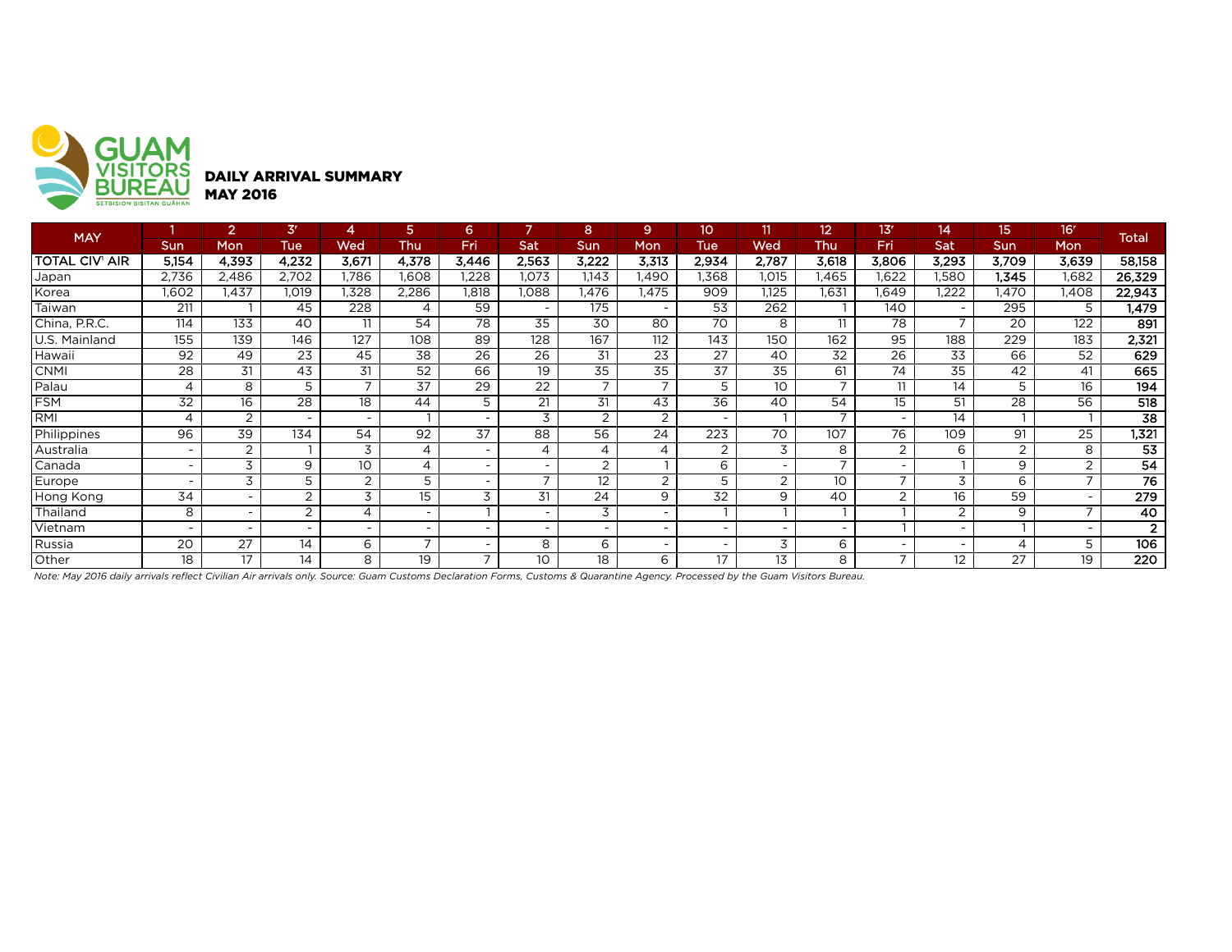

| <b>MAY</b>     |                          | 2                        | 3 <sup>r</sup>           |                          | 5                        | 6                        |                          | 8        | 9              | 10                       | 11              | 12                       | 13 <sup>r</sup>          | 14             | 15    | 16'            | <b>Total</b>    |
|----------------|--------------------------|--------------------------|--------------------------|--------------------------|--------------------------|--------------------------|--------------------------|----------|----------------|--------------------------|-----------------|--------------------------|--------------------------|----------------|-------|----------------|-----------------|
|                | <b>Sun</b>               | Mon                      | <b>Tue</b>               | Wed                      | Thu                      | Fri                      | Sat                      | Sun      | Mon            | Tue                      | Wed             | Thu                      | Fri                      | Sat            | Sun   | Mon            |                 |
| TOTAL CIV' AIR | 5,154                    | 4,393                    | 4,232                    | 3,671                    | 4,378                    | 3,446                    | 2,563                    | 3,222    | 3,313          | 2,934                    | 2,787           | 3,618                    | 3,806                    | 3,293          | 3,709 | 3,639          | 58,158          |
| Japan          | 2,736                    | 2.486                    | 2,702                    | 1.786                    | .608                     | ,228                     | 1.073                    | 1.143    | 1.490          | .368                     | 1,015           | .465                     | 1,622                    | ,580           | I,345 | 1,682          | 26,329          |
| Korea          | 1,602                    | .437                     | I.O19                    | 1,328                    | 2,286                    | <b>1.818</b>             | 880,1                    | 1.476    | 1.475          | 909                      | 1.125           | 1.631                    | .649                     | ,222           | ,470  | 1,408          | 22,943          |
| Taiwan         | 211                      |                          | 45                       | 228                      | 4                        | 59                       |                          | 175      |                | 53                       | 262             |                          | 140                      |                | 295   | 5              | 1,479           |
| China, P.R.C.  | 114                      | 133                      | 40                       | 11                       | 54                       | 78                       | 35                       | 30       | 80             | 70                       | 8               | 11                       | 78                       |                | 20    | 122            | 891             |
| U.S. Mainland  | 155                      | 139                      | 146                      | 127                      | 108                      | 89                       | 128                      | 167      | 112            | 143                      | 150             | 162                      | 95                       | 188            | 229   | 183            | 2,321           |
| Hawaii         | 92                       | 49                       | 23                       | 45                       | 38                       | 26                       | 26                       | 31       | 23             | 27                       | 40              | 32                       | 26                       | 33             | 66    | 52             | 629             |
| <b>CNMI</b>    | 28                       | 31                       | 43                       | 31                       | 52                       | 66                       | 19                       | 35       | 35             | 37                       | 35              | 61                       | 74                       | 35             | 42    | 41             | 665             |
| Palau          | 4                        | 8                        | 5                        |                          | 37                       | 29                       | 22                       |          |                | 5                        | 10 <sup>°</sup> |                          | 11                       | 14             | 5     | 16             | 194             |
| <b>FSM</b>     | 32                       | 16                       | 28                       | 18                       | 44                       | 5                        | 21                       | 31       | 43             | 36                       | 40              | 54                       | 15                       | 51             | 28    | 56             | 518             |
| RMI            | $\overline{A}$           | 2                        | $\overline{\phantom{0}}$ | $\overline{\phantom{0}}$ |                          | $\overline{\phantom{0}}$ | 3                        | 2        | $\overline{2}$ | . .                      |                 | $\overline{\phantom{a}}$ | $\overline{\phantom{0}}$ | 14             |       |                | $\overline{38}$ |
| Philippines    | 96                       | 39                       | 134                      | 54                       | 92                       | 37                       | 88                       | 56       | 24             | 223                      | 70              | 107                      | 76                       | 109            | 91    | 25             | 1,321           |
| Australia      | $\overline{\phantom{a}}$ | 2                        |                          | 3                        | 4                        | $\overline{\phantom{0}}$ | 4                        | 4        | 4              | $\overline{2}$           | 3               | 8                        | 2                        | 6              | 2     | 8              | 53              |
| Canada         | $\overline{\phantom{a}}$ | 3                        | 9                        | 10                       | 4                        | $\overline{\phantom{0}}$ |                          | $\Omega$ |                | 6                        |                 |                          | $\overline{\phantom{0}}$ |                | 9     | $\overline{2}$ | 54              |
| Europe         | $\overline{\phantom{0}}$ | 3                        | 5                        | 2                        | 5                        | $\overline{\phantom{0}}$ | $\overline{\phantom{a}}$ | 12       | 2              | 5                        | $\overline{2}$  | 10                       | $\overline{ }$           | 3              | 6     |                | 76              |
| Hong Kong      | 34                       | $\overline{\phantom{a}}$ | 2                        | 3                        | 15                       | 3                        | 31                       | 24       | 9              | 32                       | 9               | 40                       | 2                        | 16             | 59    |                | 279             |
| Thailand       | 8                        | $\overline{\phantom{a}}$ | 2                        | 4                        | $\overline{\phantom{0}}$ |                          |                          | 3        |                |                          |                 |                          |                          | $\overline{2}$ | 9     |                | 40              |
| Vietnam        | $\overline{\phantom{a}}$ | $\overline{\phantom{a}}$ | $\overline{\phantom{0}}$ | $\overline{\phantom{0}}$ |                          | $\overline{\phantom{0}}$ | $\overline{\phantom{0}}$ |          |                | $\overline{\phantom{0}}$ |                 | $\overline{\phantom{0}}$ |                          |                |       |                | $\overline{2}$  |
| Russia         | 20                       | 27                       | 14                       | 6                        | $\overline{ }$           | $\overline{\phantom{0}}$ | 8                        | 6        |                | $\overline{\phantom{a}}$ | 3               | 6                        | $\overline{\phantom{0}}$ |                | 4     |                | 106             |
| Other          | 18                       | 17                       | 14                       | 8                        | 19                       | ⇁                        | 10                       | 18       | 6              | 17                       | 13              | 8                        | $\overline{\phantom{0}}$ | 12             | 27    | 19             | 220             |

*Note: May 2016 daily arrivals reflect Civilian Air arrivals only. Source: Guam Customs Declaration Forms, Customs & Quarantine Agency. Processed by the Guam Visitors Bureau.*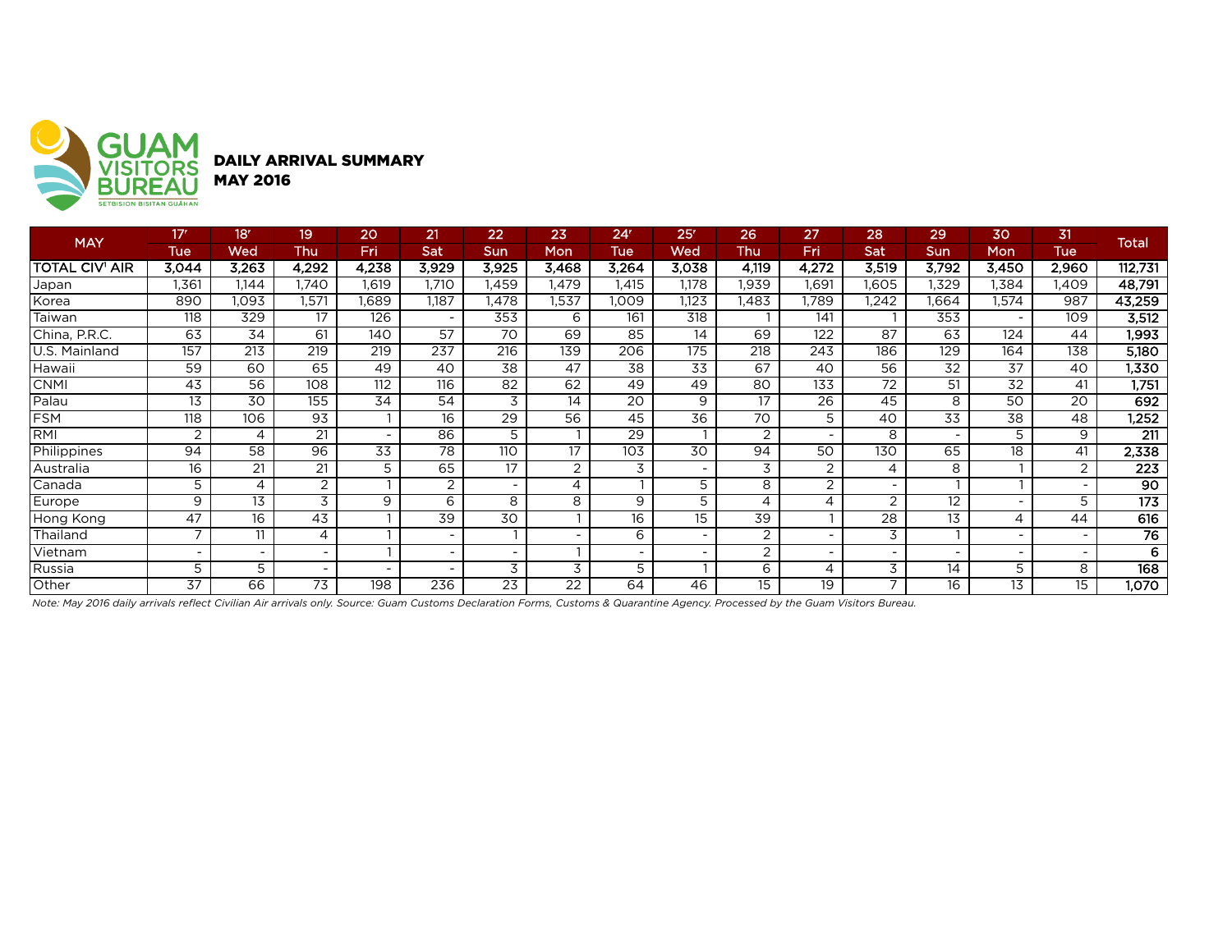

| <b>MAY</b>            | 17 <sup>r</sup> | 18r   | 19                       | 20                       | 21                       | 22              | 23             | 24 <sup>r</sup> | 25 <sup>r</sup>          | 26             | 27                       | 28                       | 29    | 30    | 31          | <b>Total</b>     |
|-----------------------|-----------------|-------|--------------------------|--------------------------|--------------------------|-----------------|----------------|-----------------|--------------------------|----------------|--------------------------|--------------------------|-------|-------|-------------|------------------|
|                       | <b>Tue</b>      | Wed   | Thu                      | Fri                      | Sat                      | Sun             | Mon            | Tue             | Wed                      | Thu            | Fri                      | Sat                      | Sun   | Mon   | <b>Tue</b>  |                  |
| <b>TOTAL CIV' AIR</b> | 3.044           | 3,263 | 4,292                    | 4,238                    | 3,929                    | 3,925           | 3,468          | 3,264           | 3,038                    | 4,119          | 4,272                    | 3,519                    | 3,792 | 3,450 | 2,960       | 112,731          |
| Japan                 | .361            | 1,144 | .740                     | l,619                    | 1.710                    | l.459           | 1,479          | .415            | 1,178                    | <b>.939</b>    | 1,691                    | 1.605                    | .329  | 1,384 | <b>.409</b> | 48,791           |
| Korea                 | 890             | 1,093 | 1,571                    | .689                     | 1,187                    | 1,478           | 1,537          | 1,009           | 1,123                    | I,483          | 1,789                    | 1,242                    | 1,664 | 1,574 | 987         | 43,259           |
| Taiwan                | 118             | 329   | 17                       | 126                      | $\overline{\phantom{a}}$ | 353             | 6              | 161             | $\overline{318}$         |                | 141                      |                          | 353   |       | 109         | 3,512            |
| China, P.R.C.         | 63              | 34    | 61                       | 140                      | 57                       | 70              | 69             | 85              | 14                       | 69             | 122                      | 87                       | 63    | 124   | 44          | 1,993            |
| U.S. Mainland         | 157             | 213   | 219                      | 219                      | 237                      | 216             | 139            | 206             | 175                      | 218            | 243                      | 186                      | 129   | 164   | 138         | 5,180            |
| Hawaii                | 59              | 60    | 65                       | 49                       | 40                       | 38              | 47             | 38              | 33                       | 67             | 40                       | 56                       | 32    | 37    | 40          | 1,330            |
| <b>CNMI</b>           | 43              | 56    | 108                      | 112                      | 116                      | 82              | 62             | 49              | 49                       | 80             | 133                      | 72                       | 51    | 32    | 41          | 1,751            |
| Palau                 | 13              | 30    | 155                      | 34                       | 54                       | 3               | 14             | 20              | 9                        | 17             | 26                       | 45                       | 8     | 50    | 20          | 692              |
| <b>FSM</b>            | 118             | 106   | 93                       |                          | 16                       | 29              | 56             | 45              | 36                       | 70             | 5                        | 40                       | 33    | 38    | 48          | 1,252            |
| RMI                   | 2               | 4     | 21                       | $\overline{\phantom{0}}$ | 86                       | 5               |                | 29              |                          | $\overline{2}$ | $\overline{\phantom{a}}$ | 8                        |       | 5     | 9           | $\overline{211}$ |
| Philippines           | 94              | 58    | 96                       | 33                       | 78                       | 110             | 17             | 103             | 30                       | 94             | 50                       | 130                      | 65    | 18    | 41          | 2,338            |
| Australia             | 16              | 21    | 21                       | 5                        | 65                       | $\overline{17}$ | $\overline{2}$ | 3               | $\overline{\phantom{0}}$ | 3              | 2                        | 4                        | 8     |       | 2           | $\overline{223}$ |
| Canada                | 5               | 4     | 2                        |                          | 2                        |                 | 4              |                 | 5                        | 8              | 2                        |                          |       |       |             | 90               |
| Europe                | 9               | 13    | 3                        | 9                        | 6                        | 8               | 8              | 9               | 5                        | 4              | $\overline{4}$           | $\overline{2}$           | 12    |       | 5           | 173              |
| Hong Kong             | 47              | 16    | 43                       |                          | 39                       | 30              |                | 16              | 15                       | 39             |                          | 28                       | 13    |       | 44          | 616              |
| Thailand              | ⇁               | 11    | $\overline{A}$           |                          |                          |                 |                | 6               | $\overline{\phantom{0}}$ | 2              | $\overline{\phantom{a}}$ | 3                        |       |       |             | 76               |
| Vietnam               |                 |       | -                        |                          |                          |                 |                |                 |                          | 2              | $\overline{\phantom{a}}$ |                          |       |       |             | 6                |
| Russia                | 5               | 5     | $\overline{\phantom{a}}$ | $\overline{\phantom{a}}$ | $\overline{\phantom{a}}$ | 3               | 3              | 5               |                          | 6              | $\overline{4}$           | 3                        | 14    | 5.    | 8           | 168              |
| Other                 | 37              | 66    | 73                       | 198                      | 236                      | 23              | 22             | 64              | 46                       | 15             | $\overline{19}$          | $\overline{\phantom{0}}$ | 16    | 13    | 15          | 1,070            |

*Note: May 2016 daily arrivals reflect Civilian Air arrivals only. Source: Guam Customs Declaration Forms, Customs & Quarantine Agency. Processed by the Guam Visitors Bureau.*